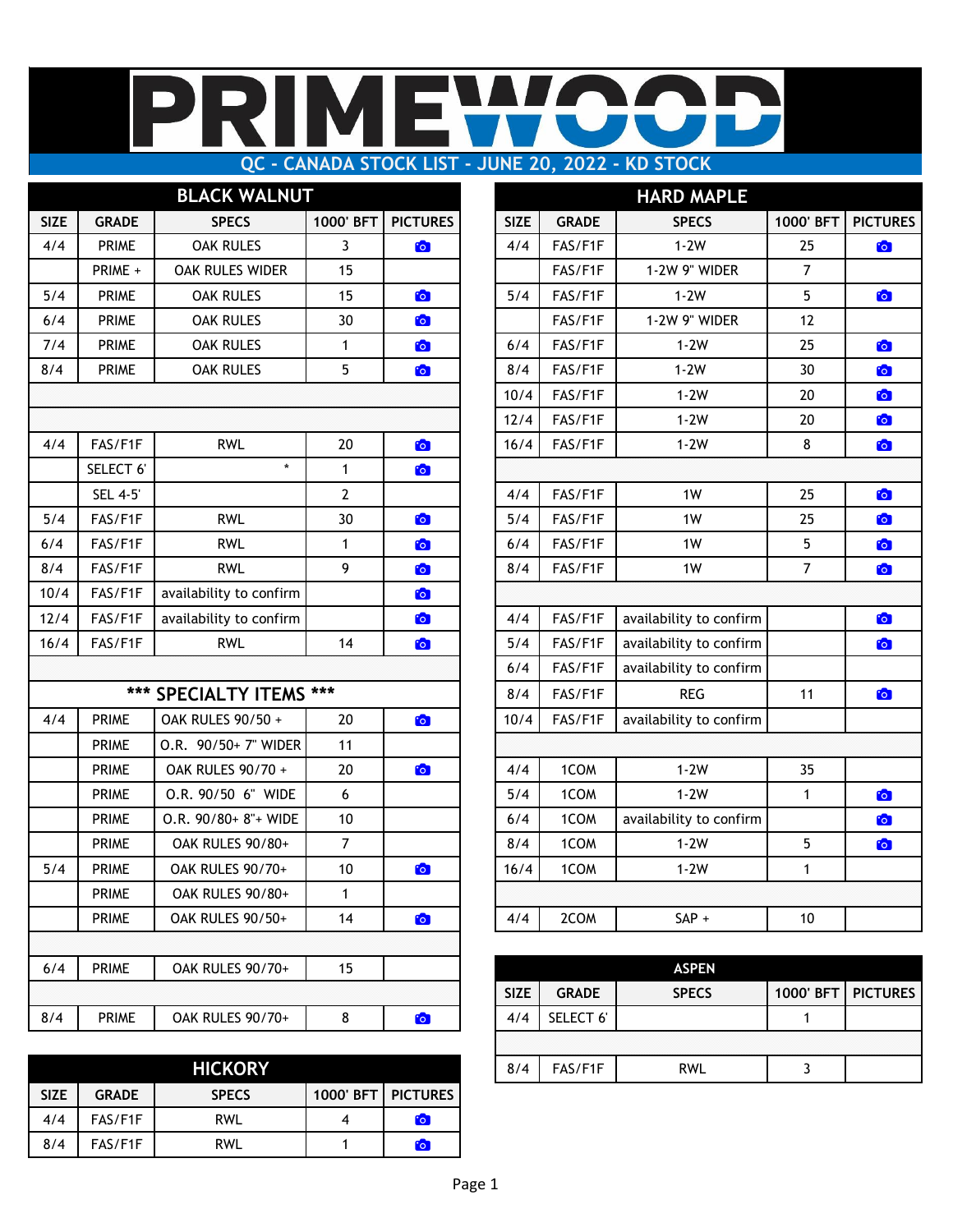### IMI  $\mathbf{L}$ **QC - CANADA STOCK LIST - JUNE 20, 2022 - KD STOCK**

|             |                | <b>BLACK WALNUT</b>     |                |                 | <b>HARD MAPLE</b> |              |                         |                |              |  |  |
|-------------|----------------|-------------------------|----------------|-----------------|-------------------|--------------|-------------------------|----------------|--------------|--|--|
| <b>SIZE</b> | <b>GRADE</b>   | <b>SPECS</b>            | 1000' BFT      | <b>PICTURES</b> | <b>SIZE</b>       | <b>GRADE</b> | <b>SPECS</b>            | 1000' BFT      | <b>PICTU</b> |  |  |
| 4/4         | <b>PRIME</b>   | <b>OAK RULES</b>        | $\overline{3}$ | <b>C</b>        | 4/4               | FAS/F1F      | $1-2W$                  | 25             | <b>io</b>    |  |  |
|             | PRIME +        | OAK RULES WIDER         | 15             |                 |                   | FAS/F1F      | 1-2W 9" WIDER           | $\overline{7}$ |              |  |  |
| 5/4         | <b>PRIME</b>   | <b>OAK RULES</b>        | 15             | O               | 5/4               | FAS/F1F      | $1-2W$                  | 5              | to           |  |  |
| 6/4         | <b>PRIME</b>   | <b>OAK RULES</b>        | 30             | <b>C</b>        |                   | FAS/F1F      | 1-2W 9" WIDER           | 12             |              |  |  |
| 7/4         | <b>PRIME</b>   | <b>OAK RULES</b>        | $\mathbf{1}$   | $\bullet$       | 6/4               | FAS/F1F      | $1-2W$                  | 25             | O            |  |  |
| 8/4         | <b>PRIME</b>   | <b>OAK RULES</b>        | 5              | $\bullet$       | 8/4               | FAS/F1F      | $1-2W$                  | 30             | to           |  |  |
|             |                |                         |                |                 | 10/4              | FAS/F1F      | $1-2W$                  | 20             | <b>io</b>    |  |  |
|             |                |                         |                |                 | 12/4              | FAS/F1F      | $1-2W$                  | 20             | O            |  |  |
| 4/4         | FAS/F1F        | <b>RWL</b>              | 20             | $\bullet$       | 16/4              | FAS/F1F      | $1-2W$                  | 8              | to           |  |  |
|             | SELECT 6'      | $\star$                 | $\mathbf{1}$   | O               |                   |              |                         |                |              |  |  |
|             | <b>SEL 4-5</b> |                         | $\overline{2}$ |                 | 4/4               | FAS/F1F      | 1W                      | 25             | O            |  |  |
| 5/4         | FAS/F1F        | <b>RWL</b>              | 30             | $\bullet$       | 5/4               | FAS/F1F      | 1W                      | 25             | O            |  |  |
| 6/4         | FAS/F1F        | <b>RWL</b>              | 1              | O               | 6/4               | FAS/F1F      | 1W                      | 5              | <b>io</b>    |  |  |
| 8/4         | FAS/F1F        | <b>RWL</b>              | 9              | O               | 8/4               | FAS/F1F      | 1W                      | $\overline{7}$ | <b>io</b>    |  |  |
| 10/4        | FAS/F1F        | availability to confirm |                | to              |                   |              |                         |                |              |  |  |
| 12/4        | FAS/F1F        | availability to confirm |                | to              | 4/4               | FAS/F1F      | availability to confirm |                | to           |  |  |
| 16/4        | FAS/F1F        | <b>RWL</b>              | 14             | $\bullet$       | 5/4               | FAS/F1F      | availability to confirm |                | to           |  |  |
|             |                |                         |                |                 | 6/4               | FAS/F1F      | availability to confirm |                |              |  |  |
|             |                | *** SPECIALTY ITEMS *** |                |                 | 8/4               | FAS/F1F      | <b>REG</b>              | 11             | to           |  |  |
| 4/4         | <b>PRIME</b>   | OAK RULES 90/50 +       | 20             | $\bullet$       | 10/4              | FAS/F1F      | availability to confirm |                |              |  |  |
|             | <b>PRIME</b>   | O.R. 90/50+7" WIDER     | 11             |                 |                   |              |                         |                |              |  |  |
|             | <b>PRIME</b>   | OAK RULES 90/70 +       | 20             | O               | 4/4               | 1COM         | $1-2W$                  | 35             |              |  |  |
|             | <b>PRIME</b>   | O.R. 90/50 6" WIDE      | $6\phantom{a}$ |                 | 5/4               | 1COM         | $1-2W$                  | $\mathbf{1}$   | to           |  |  |
|             | <b>PRIME</b>   | O.R. 90/80+ 8"+ WIDE    | $10$           |                 | 6/4               | 1COM         | availability to confirm |                | <b>D</b>     |  |  |
|             | <b>PRIME</b>   | OAK RULES 90/80+        | $\overline{7}$ |                 | 8/4               | 1COM         | $1-2W$                  | 5              | O            |  |  |
| 5/4         | <b>PRIME</b>   | OAK RULES 90/70+        | 10             | <b>io</b>       | 16/4              | 1COM         | $1-2W$                  | $\mathbf{1}$   |              |  |  |
|             | <b>PRIME</b>   | OAK RULES 90/80+        | 1              |                 |                   |              |                         |                |              |  |  |
|             | <b>PRIME</b>   | OAK RULES 90/50+        | 14             | $\bullet$       | 4/4               | 2COM         | $SAP +$                 | 10             |              |  |  |
|             |                |                         |                |                 |                   |              |                         |                |              |  |  |
| 6/4         | <b>PRIME</b>   | OAK RULES 90/70+        | 15             |                 |                   |              | <b>ASPEN</b>            |                |              |  |  |
|             |                |                         |                |                 | <b>SIZE</b>       | <b>GRADE</b> | <b>SPECS</b>            | 1000' BFT      | <b>PICTU</b> |  |  |
| 8/4         | <b>PRIME</b>   | OAK RULES 90/70+        | $\bf 8$        | $\bullet$       | 4/4               | SELECT 6'    |                         | $\mathbf{1}$   |              |  |  |

|             |              | <b>HICKORY</b> |                             |                 |
|-------------|--------------|----------------|-----------------------------|-----------------|
| <b>SIZE</b> | <b>GRADE</b> | <b>SPECS</b>   | <b>1000' BFT I PICTURES</b> |                 |
| 4/4         | FAS/F1F      | RWL            |                             | $\cdot \bullet$ |
| 8/4         | FAS/F1F      | RWL            |                             | <b>CO</b>       |

|             |                | <b>BLACK WALNUT</b>     |                |                 |             |              | <b>HARD MAPLE</b>       |                |                 |
|-------------|----------------|-------------------------|----------------|-----------------|-------------|--------------|-------------------------|----------------|-----------------|
| <b>SIZE</b> | <b>GRADE</b>   | <b>SPECS</b>            | 1000' BFT      | <b>PICTURES</b> | <b>SIZE</b> | <b>GRADE</b> | <b>SPECS</b>            | 1000' BFT      | <b>PICTURES</b> |
| 4/4         | <b>PRIME</b>   | <b>OAK RULES</b>        | 3              | $\bullet$       | 4/4         | FAS/F1F      | $1-2W$                  | 25             | $\bullet$       |
|             | PRIME +        | OAK RULES WIDER         | 15             |                 |             | FAS/F1F      | 1-2W 9" WIDER           | $\overline{7}$ |                 |
| 5/4         | <b>PRIME</b>   | <b>OAK RULES</b>        | 15             | $\bullet$       | 5/4         | FAS/F1F      | $1-2W$                  | 5              | $\bullet$       |
| 6/4         | <b>PRIME</b>   | OAK RULES               | 30             | $\bullet$       |             | FAS/F1F      | 1-2W 9" WIDER           | 12             |                 |
| 7/4         | <b>PRIME</b>   | <b>OAK RULES</b>        | 1              | $\bullet$       | 6/4         | FAS/F1F      | $1-2W$                  | 25             | <b>CO</b>       |
| 8/4         | <b>PRIME</b>   | <b>OAK RULES</b>        | 5              | $\bullet$       | 8/4         | FAS/F1F      | $1-2W$                  | 30             | $\bullet$       |
|             |                |                         |                |                 | 10/4        | FAS/F1F      | $1-2W$                  | 20             | <b>io</b>       |
|             |                |                         |                |                 | 12/4        | FAS/F1F      | $1-2W$                  | 20             | $\bullet$       |
| 4/4         | FAS/F1F        | <b>RWL</b>              | 20             | $\bullet$       | 16/4        | FAS/F1F      | $1-2W$                  | 8              | $\bullet$       |
|             | SELECT 6'      | $\star$                 | $\mathbf{1}$   | <b>C</b>        |             |              |                         |                |                 |
|             | <b>SEL 4-5</b> |                         | $\mathbf{2}$   |                 | 4/4         | FAS/F1F      | 1W                      | 25             | $\bullet$       |
| 5/4         | FAS/F1F        | <b>RWL</b>              | 30             | $\mathbf{E}$    | 5/4         | FAS/F1F      | 1W                      | 25             | <b>CO</b>       |
| 6/4         | FAS/F1F        | <b>RWL</b>              | $\mathbf{1}$   | $\bullet$       | 6/4         | FAS/F1F      | 1W                      | 5              | $\bullet$       |
| 8/4         | FAS/F1F        | <b>RWL</b>              | 9              | <b>For</b>      | 8/4         | FAS/F1F      | 1W                      | $\overline{7}$ | $\bullet$       |
| 10/4        | FAS/F1F        | availability to confirm |                | $\mathbf{E}$    |             |              |                         |                |                 |
| 12/4        | FAS/F1F        | availability to confirm |                | $\bullet$       | 4/4         | FAS/F1F      | availability to confirm |                | $\bullet$       |
| 16/4        | FAS/F1F        | <b>RWL</b>              | 14             | $\bullet$       | 5/4         | FAS/F1F      | availability to confirm |                | $\bullet$       |
|             |                |                         |                |                 | 6/4         | FAS/F1F      | availability to confirm |                |                 |
|             |                | *** SPECIALTY ITEMS *** |                |                 | 8/4         | FAS/F1F      | <b>REG</b>              | 11             | <b>io</b>       |
| 4/4         | <b>PRIME</b>   | OAK RULES 90/50 +       | 20             | $\bullet$       | 10/4        | FAS/F1F      | availability to confirm |                |                 |
|             | <b>PRIME</b>   | O.R. 90/50+ 7" WIDER    | 11             |                 |             |              |                         |                |                 |
|             | <b>PRIME</b>   | OAK RULES 90/70 +       | 20             | $\bullet$       | 4/4         | 1COM         | $1-2W$                  | 35             |                 |
|             | <b>PRIME</b>   | O.R. 90/50 6" WIDE      | 6              |                 | 5/4         | 1COM         | $1-2W$                  | $\mathbf{1}$   | $\bullet$       |
|             | <b>PRIME</b>   | O.R. 90/80+ 8"+ WIDE    | 10             |                 | 6/4         | 1COM         | availability to confirm |                | $\bullet$       |
|             | <b>PRIME</b>   | OAK RULES 90/80+        | $\overline{7}$ |                 | 8/4         | 1COM         | $1-2W$                  | 5              | $\bullet$       |
| 5/4         | <b>PRIME</b>   | OAK RULES 90/70+        | 10             | $\bullet$       | 16/4        | 1COM         | $1-2W$                  | $\mathbf{1}$   |                 |
|             | <b>PRIME</b>   | OAK RULES 90/80+        | $\mathbf{1}$   |                 |             |              |                         |                |                 |
|             | <b>PRIME</b>   | OAK RULES 90/50+        | 14             | O               | 4/4         | 2COM         | $SAP +$                 | 10             |                 |

| K Rules 90/70+ |  |             |              | <b>ASPEN</b> |                      |
|----------------|--|-------------|--------------|--------------|----------------------|
|                |  | <b>SIZE</b> | <b>GRADE</b> | <b>SPECS</b> | 1000' BFT   PICTURES |
| K RULES 90/70+ |  |             | SELECT 6'    |              |                      |
|                |  |             |              |              |                      |
| <b>HICKORY</b> |  | 8/4         | FAS/F1F      | <b>RWL</b>   |                      |
|                |  |             |              |              |                      |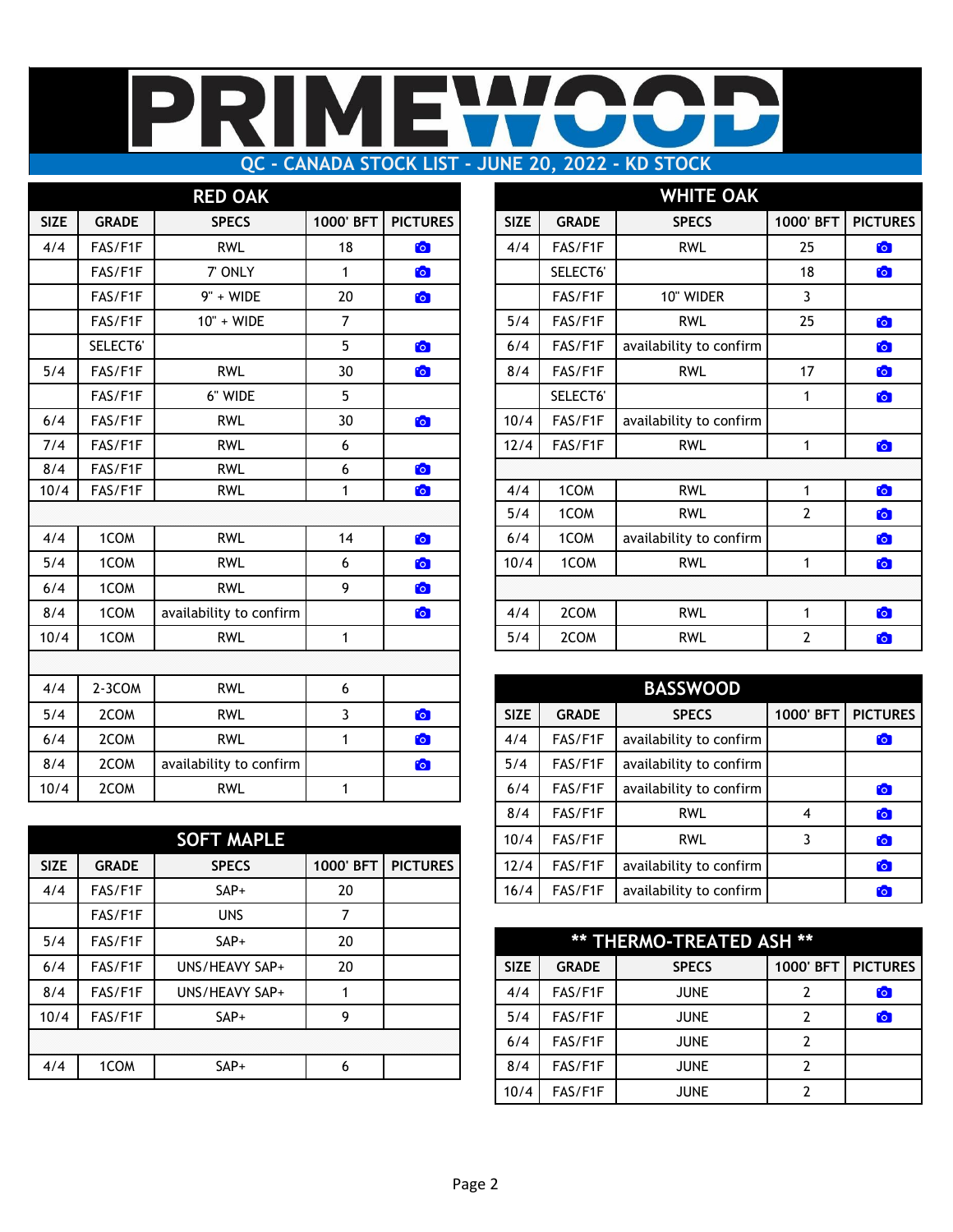## IMI R E I **QC - CANADA STOCK LIST - JUNE 20, 2022 - KD STOCK**

|             |              | <b>RED OAK</b>          |                |                 |             |              | <b>WHITE OAK</b>        |                |              |
|-------------|--------------|-------------------------|----------------|-----------------|-------------|--------------|-------------------------|----------------|--------------|
| <b>SIZE</b> | <b>GRADE</b> | <b>SPECS</b>            | 1000' BFT      | <b>PICTURES</b> | <b>SIZE</b> | <b>GRADE</b> | <b>SPECS</b>            | 1000' BFT      | <b>PICTU</b> |
| 4/4         | FAS/F1F      | <b>RWL</b>              | 18             | $\bullet$       | 4/4         | FAS/F1F      | <b>RWL</b>              | 25             | <b>io</b>    |
|             | FAS/F1F      | 7' ONLY                 | $\mathbf{1}$   | <b>C</b>        |             | SELECT6'     |                         | 18             | <b>io</b>    |
|             | FAS/F1F      | $9" + WIDE$             | 20             | $\bullet$       |             | FAS/F1F      | 10" WIDER               | 3              |              |
|             | FAS/F1F      | 10" + WIDE              | $\overline{7}$ |                 | 5/4         | FAS/F1F      | <b>RWL</b>              | 25             | O            |
|             | SELECT6'     |                         | 5              | $\bullet$       | 6/4         | FAS/F1F      | availability to confirm |                | b            |
| 5/4         | FAS/F1F      | <b>RWL</b>              | 30             | <b>C</b>        | 8/4         | FAS/F1F      | <b>RWL</b>              | 17             | <b>io</b>    |
|             | FAS/F1F      | 6" WIDE                 | 5              |                 |             | SELECT6'     |                         | $\mathbf{1}$   | to           |
| 6/4         | FAS/F1F      | <b>RWL</b>              | 30             | $\bullet$       | 10/4        | FAS/F1F      | availability to confirm |                |              |
| 7/4         | FAS/F1F      | <b>RWL</b>              | 6              |                 | 12/4        | FAS/F1F      | <b>RWL</b>              | $\mathbf{1}$   | <b>io</b>    |
| 8/4         | FAS/F1F      | <b>RWL</b>              | 6              | $\bullet$       |             |              |                         |                |              |
| 10/4        | FAS/F1F      | <b>RWL</b>              | 1              | $\bullet$       | 4/4         | 1COM         | <b>RWL</b>              | $\mathbf{1}$   | <b>io</b>    |
|             |              |                         |                |                 | 5/4         | 1COM         | <b>RWL</b>              | $\overline{2}$ | <b>io</b>    |
| 4/4         | 1COM         | <b>RWL</b>              | 14             | $\bullet$       | 6/4         | 1COM         | availability to confirm |                | b            |
| 5/4         | 1COM         | <b>RWL</b>              | 6              | $\bullet$       | 10/4        | 1COM         | <b>RWL</b>              | $\mathbf{1}$   | <b>io</b>    |
| 6/4         | 1COM         | <b>RWL</b>              | 9              | $\bullet$       |             |              |                         |                |              |
| 8/4         | 1COM         | availability to confirm |                | $\bullet$       | 4/4         | 2COM         | <b>RWL</b>              | $\mathbf{1}$   | to           |
| 10/4        | 1COM         | <b>RWL</b>              | $\mathbf{1}$   |                 | 5/4         | 2COM         | <b>RWL</b>              | $\overline{2}$ | <b>io</b>    |
|             |              |                         |                |                 |             |              |                         |                |              |
| 4/4         | 2-3COM       | <b>RWL</b>              | 6              |                 |             |              | <b>BASSWOOD</b>         |                |              |
| 5/4         | 2COM         | <b>RWL</b>              | 3              | $\bullet$       | <b>SIZE</b> | <b>GRADE</b> | <b>SPECS</b>            | 1000' BFT      | <b>PICTU</b> |
| 6/4         | 2COM         | <b>RWL</b>              | $\mathbf{1}$   | $\bullet$       | 4/4         | FAS/F1F      | availability to confirm |                | <b>D</b>     |
| 8/4         | 2COM         | availability to confirm |                | $\bullet$       | 5/4         | FAS/F1F      | availability to confirm |                |              |
| 10/4        | 2COM         | <b>RWL</b>              | $\mathbf{1}$   |                 | 6/4         | FAS/F1F      | availability to confirm |                | <b>io</b>    |

|             |              | <b>SOFT MAPLE</b> |           |                 | 10/4        | FAS/F1F      | <b>RWL</b>               | 3              |              |
|-------------|--------------|-------------------|-----------|-----------------|-------------|--------------|--------------------------|----------------|--------------|
| <b>SIZE</b> | <b>GRADE</b> | <b>SPECS</b>      | 1000' BFT | <b>PICTURES</b> | 12/4        | FAS/F1F      | availability to confirm  |                |              |
| 4/4         | FAS/F1F      | $SAP+$            | 20        |                 | 16/4        | FAS/F1F      | availability to confirm  |                |              |
|             | FAS/F1F      | <b>UNS</b>        |           |                 |             |              |                          |                |              |
| 5/4         | FAS/F1F      | $SAP+$            | 20        |                 |             |              | ** THERMO-TREATED ASH ** |                |              |
| 6/4         | FAS/F1F      | UNS/HEAVY SAP+    | 20        |                 | <b>SIZE</b> | <b>GRADE</b> | <b>SPECS</b>             | 1000' BFT      | <b>PICTU</b> |
| 8/4         | FAS/F1F      | UNS/HEAVY SAP+    |           |                 | 4/4         | FAS/F1F      | <b>JUNE</b>              |                |              |
| 10/4        | FAS/F1F      | $SAP+$            | 9         |                 | 5/4         | FAS/F1F      | <b>JUNE</b>              | 2              |              |
|             |              |                   |           |                 | 6/4         | FAS/F1F      | <b>JUNE</b>              | 2              |              |
| 4/4         | 1COM         | $SAP+$            | 6         |                 | 8/4         | FAS/F1F      | <b>JUNE</b>              | $\overline{2}$ |              |
|             |              |                   |           |                 |             |              |                          |                |              |

|             |              | <b>RED OAK</b>          |                 |                 |             |              | <b>WHITE OAK</b>        |                       |                 |
|-------------|--------------|-------------------------|-----------------|-----------------|-------------|--------------|-------------------------|-----------------------|-----------------|
| <b>SIZE</b> | <b>GRADE</b> | <b>SPECS</b>            | 1000' BFT       | <b>PICTURES</b> | <b>SIZE</b> | <b>GRADE</b> | <b>SPECS</b>            | 1000' BFT             | <b>PICTURES</b> |
| 4/4         | FAS/F1F      | <b>RWL</b>              | 18              | $\bullet$       | 4/4         | FAS/F1F      | <b>RWL</b>              | 25                    | $\bullet$       |
|             | FAS/F1F      | 7' ONLY                 |                 | $\bullet$       |             | SELECT6'     |                         | 18                    | $\bullet$       |
|             | FAS/F1F      | 9" + WIDE               | 20              | $\bullet$       |             | FAS/F1F      | 10" WIDER               | 3                     |                 |
|             | FAS/F1F      | 10" + WIDE              | $\overline{7}$  |                 | 5/4         | FAS/F1F      | <b>RWL</b>              | 25                    | $\bullet$       |
|             | SELECT6'     |                         | $5\phantom{.0}$ | $\bullet$       | 6/4         | FAS/F1F      | availability to confirm |                       | $\bullet$       |
| 5/4         | FAS/F1F      | <b>RWL</b>              | 30              | $\bullet$       | 8/4         | FAS/F1F      | <b>RWL</b>              | 17                    | $\bullet$       |
|             | FAS/F1F      | 6" WIDE                 | $5\phantom{.0}$ |                 |             | SELECT6'     |                         | 1                     | $\bullet$       |
| 6/4         | FAS/F1F      | <b>RWL</b>              | 30              | $\bullet$       | 10/4        | FAS/F1F      | availability to confirm |                       |                 |
| 7/4         | FAS/F1F      | <b>RWL</b>              | 6               |                 | 12/4        | FAS/F1F      | <b>RWL</b>              | 1                     | <b>io</b>       |
| 8/4         | FAS/F1F      | <b>RWL</b>              | 6               | $\bullet$       |             |              |                         |                       |                 |
| 10/4        | FAS/F1F      | <b>RWL</b>              | $\mathbf{1}$    | $\bullet$       | 4/4         | 1COM         | <b>RWL</b>              | 1                     | O               |
|             |              |                         |                 |                 | 5/4         | 1COM         | <b>RWL</b>              | $\overline{2}$        | $\bullet$       |
| 4/4         | 1COM         | <b>RWL</b>              | 14              | $\bullet$       | 6/4         | 1COM         | availability to confirm |                       | $\bullet$       |
| 5/4         | 1COM         | <b>RWL</b>              | 6               | $\bullet$       | 10/4        | 1COM         | <b>RWL</b>              | 1                     | $\bullet$       |
| 6/4         | 1COM         | <b>RWL</b>              | 9               | $\bullet$       |             |              |                         |                       |                 |
| 8/4         | 1COM         | availability to confirm |                 | $\bullet$       | 4/4         | 2COM         | <b>RWL</b>              | 1                     | $\bullet$       |
| 10/4        | 1COM         | <b>RWL</b>              | 1               |                 | 5/4         | 2COM         | <b>RWL</b>              | $\mathbf{2}^{\prime}$ | $\bullet$       |
|             |              |                         |                 |                 |             |              |                         |                       |                 |

| 4/4  | $2 - 3$ COM  | <b>RWL</b>              | 6         |                 |             |              | <b>BASSWOOD</b>         |                |                 |
|------|--------------|-------------------------|-----------|-----------------|-------------|--------------|-------------------------|----------------|-----------------|
| 5/4  | 2COM         | <b>RWL</b>              |           | to              | <b>SIZE</b> | <b>GRADE</b> | <b>SPECS</b>            | 1000' BFT      | <b>PICTURES</b> |
| 6/4  | 2COM         | <b>RWL</b>              |           | <b>io</b>       | 4/4         | FAS/F1F      | availability to confirm |                | $\mathbf{C}$    |
| 8/4  | 2COM         | availability to confirm |           | $\bullet$       | 5/4         | FAS/F1F      | availability to confirm |                |                 |
| 10/4 | 2COM         | <b>RWL</b>              |           |                 | 6/4         | FAS/F1F      | availability to confirm |                | $\bullet$       |
|      |              |                         |           |                 | 8/4         | FAS/F1F      | <b>RWL</b>              | $\overline{4}$ | <b>io</b>       |
|      |              | <b>SOFT MAPLE</b>       |           |                 | 10/4        | FAS/F1F      | <b>RWL</b>              |                | <b>io</b>       |
| SIZE | <b>GRADE</b> | <b>SPECS</b>            | 1000' BFT | <b>PICTURES</b> | 12/4        | FAS/F1F      | availability to confirm |                | $\mathbf{C}$    |
| 4/4  | FAS/F1F      | $SAP+$                  | 20        |                 | 16/4        | FAS/F1F      | availability to confirm |                | $\mathbf{C}$    |
|      |              |                         |           |                 |             |              |                         |                |                 |

| 5/4  | FAS/F1F | $SAP+$         | 20 |  |             |              | ** THERMO-TREATED ASH ** |           |                 |
|------|---------|----------------|----|--|-------------|--------------|--------------------------|-----------|-----------------|
| 6/4  | FAS/F1F | UNS/HEAVY SAP+ | 20 |  | <b>SIZE</b> | <b>GRADE</b> | <b>SPECS</b>             | 1000' BFT | <b>PICTURES</b> |
| 8/4  | FAS/F1F | UNS/HEAVY SAP+ |    |  | 4/4         | FAS/F1F      | <b>JUNE</b>              |           | $\mathbf{G}$    |
| 10/4 | FAS/F1F | $SAP+$         |    |  | 5/4         | FAS/F1F      | <b>JUNE</b>              |           | <b>CO</b>       |
|      |         |                |    |  | 6/4         | FAS/F1F      | <b>JUNE</b>              |           |                 |
| 4/4  | 1COM    | SAP+           | 6  |  | 8/4         | FAS/F1F      | <b>JUNE</b>              |           |                 |
|      |         |                |    |  | 10/4        | FAS/F1F      | <b>JUNE</b>              |           |                 |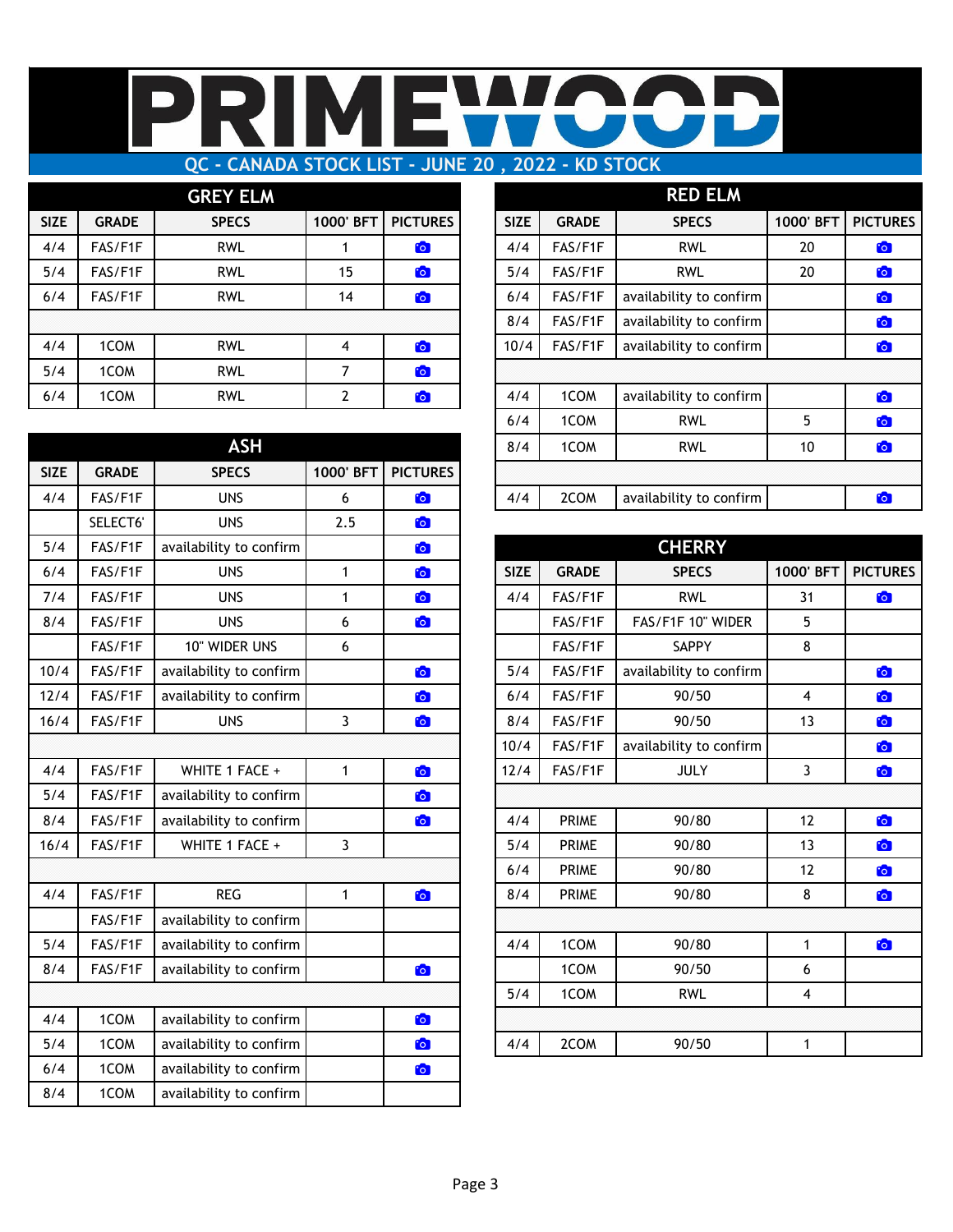## R MI  $\Box$ Π

# **QC - CANADA STOCK LIST - JUNE 20 , 2022 - KD STOCK**

|             |              | <b>GREY ELM</b> |           |                 |             |              | <b>RED ELM</b>          |           |                |
|-------------|--------------|-----------------|-----------|-----------------|-------------|--------------|-------------------------|-----------|----------------|
| <b>SIZE</b> | <b>GRADE</b> | <b>SPECS</b>    | 1000' BFT | <b>PICTURES</b> | <b>SIZE</b> | <b>GRADE</b> | <b>SPECS</b>            | 1000' BFT | <b>PICTU</b>   |
| 4/4         | FAS/F1F      | <b>RWL</b>      |           | $\bullet$       | 4/4         | FAS/F1F      | <b>RWL</b>              | 20        | <b>io</b>      |
| 5/4         | FAS/F1F      | <b>RWL</b>      | 15        | $\bullet$       | 5/4         | FAS/F1F      | <b>RWL</b>              | 20        | <b>C</b>       |
| 6/4         | FAS/F1F      | <b>RWL</b>      | 14        | $\bullet$       | 6/4         | FAS/F1F      | availability to confirm |           | $\bullet$      |
|             |              |                 |           |                 | 8/4         | FAS/F1F      | availability to confirm |           | $\ddot{\circ}$ |
| 4/4         | 1COM         | <b>RWL</b>      | 4         | $\bullet$       | 10/4        | FAS/F1F      | availability to confirm |           | $\bullet$      |
| 5/4         | 1COM         | <b>RWL</b>      |           | $\bullet$       |             |              |                         |           |                |
| 6/4         | 1COM         | <b>RWL</b>      |           | $\bullet$       | 4/4         | 1COM         | availability to confirm |           | $\mathbf{C}$   |
|             |              |                 |           |                 |             |              |                         |           |                |

|             |              | <b>ASH</b>              |                |                 | 8/4         | 1COM         | <b>RWL</b>              | 10                      | O            |
|-------------|--------------|-------------------------|----------------|-----------------|-------------|--------------|-------------------------|-------------------------|--------------|
| <b>SIZE</b> | <b>GRADE</b> | <b>SPECS</b>            | 1000' BFT      | <b>PICTURES</b> |             |              |                         |                         |              |
| 4/4         | FAS/F1F      | <b>UNS</b>              | 6              | <b>C</b>        | 4/4         | 2COM         | availability to confirm |                         | O            |
|             | SELECT6'     | <b>UNS</b>              | 2.5            | $\bullet$       |             |              |                         |                         |              |
| 5/4         | FAS/F1F      | availability to confirm |                | <b>C</b>        |             |              | <b>CHERRY</b>           |                         |              |
| 6/4         | FAS/F1F      | <b>UNS</b>              | $\mathbf{1}$   | $\bullet$       | <b>SIZE</b> | <b>GRADE</b> | <b>SPECS</b>            | 1000' BFT               | <b>PICTU</b> |
| 7/4         | FAS/F1F      | <b>UNS</b>              | 1              | $\bullet$       | 4/4         | FAS/F1F      | <b>RWL</b>              | 31                      | to           |
| 8/4         | FAS/F1F      | <b>UNS</b>              | 6              | <b>C</b>        |             | FAS/F1F      | FAS/F1F 10" WIDER       | 5                       |              |
|             | FAS/F1F      | 10" WIDER UNS           | 6              |                 |             | FAS/F1F      | SAPPY                   | 8                       |              |
| 10/4        | FAS/F1F      | availability to confirm |                | $\bullet$       | 5/4         | FAS/F1F      | availability to confirm |                         | O            |
| 12/4        | FAS/F1F      | availability to confirm |                | $\bullet$       | 6/4         | FAS/F1F      | 90/50                   | $\overline{\mathbf{4}}$ | to           |
| 16/4        | FAS/F1F      | <b>UNS</b>              | $\overline{3}$ | $\bullet$       | 8/4         | FAS/F1F      | 90/50                   | 13                      | <b>io</b>    |
|             |              |                         |                |                 | 10/4        | FAS/F1F      | availability to confirm |                         | <b>io</b>    |
| 4/4         | FAS/F1F      | WHITE 1 FACE +          | $\mathbf{1}$   | $\bullet$       | 12/4        | FAS/F1F      | <b>JULY</b>             | 3                       | <b>io</b>    |
| 5/4         | FAS/F1F      | availability to confirm |                | $\bullet$       |             |              |                         |                         |              |
| 8/4         | FAS/F1F      | availability to confirm |                | $\bullet$       | 4/4         | <b>PRIME</b> | 90/80                   | 12                      | to           |
| 16/4        | FAS/F1F      | WHITE 1 FACE +          | 3              |                 | 5/4         | <b>PRIME</b> | 90/80                   | 13                      | <b>io</b>    |
|             |              |                         |                |                 | 6/4         | <b>PRIME</b> | 90/80                   | 12                      | <b>io</b>    |
| 4/4         | FAS/F1F      | <b>REG</b>              | $\mathbf{1}$   | $\bullet$       | 8/4         | <b>PRIME</b> | 90/80                   | 8                       | <b>io</b>    |
|             | FAS/F1F      | availability to confirm |                |                 |             |              |                         |                         |              |
| 5/4         | FAS/F1F      | availability to confirm |                |                 | 4/4         | 1COM         | 90/80                   | $\mathbf{1}$            | <b>io</b>    |
| 8/4         | FAS/F1F      | availability to confirm |                | $\bullet$       |             | 1COM         | 90/50                   | 6                       |              |
|             |              |                         |                |                 | 5/4         | 1COM         | <b>RWL</b>              | 4                       |              |
| 4/4         | 1COM         | availability to confirm |                | $\bullet$       |             |              |                         |                         |              |
| 5/4         | 1COM         | availability to confirm |                | $\bullet$       | 4/4         | 2COM         | 90/50                   | $\mathbf{1}$            |              |
| 6/4         | 1COM         | availability to confirm |                | $\bullet$       |             |              |                         |                         |              |
| 8/4         | 1COM         | availability to confirm |                |                 |             |              |                         |                         |              |

|             |              | <b>GREY ELM</b> |            |                 |             |              | <b>RED ELM</b>          |           |                 |
|-------------|--------------|-----------------|------------|-----------------|-------------|--------------|-------------------------|-----------|-----------------|
| <b>SIZE</b> | <b>GRADE</b> | <b>SPECS</b>    | 1000' BFT  | <b>PICTURES</b> | <b>SIZE</b> | <b>GRADE</b> | <b>SPECS</b>            | 1000' BFT | <b>PICTURES</b> |
| 4/4         | FAS/F1F      | <b>RWL</b>      |            | <b>C</b>        | 4/4         | FAS/F1F      | <b>RWL</b>              | 20        | <b>CO</b>       |
| 5/4         | FAS/F1F      | <b>RWL</b>      | 15         | <b>CO</b>       | 5/4         | FAS/F1F      | <b>RWL</b>              | 20        | <b>io</b>       |
| 6/4         | FAS/F1F      | <b>RWL</b>      | 14         | <b>C</b>        | 6/4         | FAS/F1F      | availability to confirm |           | <b>io</b>       |
|             |              |                 |            |                 | 8/4         | FAS/F1F      | availability to confirm |           | to              |
| 4/4         | 1COM         | <b>RWL</b>      | 4          | to              | 10/4        | FAS/F1F      | availability to confirm |           | $\bullet$       |
| 5/4         | 1COM         | <b>RWL</b>      | 7          | <b>C</b>        |             |              |                         |           |                 |
| 6/4         | 1COM         | <b>RWL</b>      | 2          | to <sub>1</sub> | 4/4         | 1COM         | availability to confirm |           | <b>CO</b>       |
|             |              |                 |            |                 | 6/4         | 1COM         | <b>RWL</b>              | 5         | <b>CO</b>       |
|             |              | <b>ASH</b>      |            |                 | 8/4         | 1COM         | <b>RWL</b>              | 10        | $\bullet$       |
| <b>SIZE</b> | <b>GRADE</b> | <b>SPECS</b>    | 1000' BFT  | <b>PICTURES</b> |             |              |                         |           |                 |
| 4/4         | FAS/F1F      | <b>UNS</b>      | 6          | <u> [0]</u>     | 4/4         | 2COM         | availability to confirm |           | <b>Fo</b>       |
|             | --- ----     | $\cdots$        | $\sim$ $-$ |                 |             |              |                         |           |                 |

| 5/4  | FAS/F1F | availability to confirm |   | <b>Fo</b> |             |              | <b>CHERRY</b>           |           |                 |
|------|---------|-------------------------|---|-----------|-------------|--------------|-------------------------|-----------|-----------------|
| 6/4  | FAS/F1F | <b>UNS</b>              | 1 | <b>io</b> | <b>SIZE</b> | <b>GRADE</b> | <b>SPECS</b>            | 1000' BFT | <b>PICTURES</b> |
| 7/4  | FAS/F1F | <b>UNS</b>              | 1 | <b>CO</b> | 4/4         | FAS/F1F      | <b>RWL</b>              | 31        | $\bullet$       |
| 8/4  | FAS/F1F | <b>UNS</b>              | 6 | <b>Fo</b> |             | FAS/F1F      | FAS/F1F 10" WIDER       | 5         |                 |
|      | FAS/F1F | 10" WIDER UNS           | 6 |           |             | FAS/F1F      | SAPPY                   | 8         |                 |
| 10/4 | FAS/F1F | availability to confirm |   | <b>io</b> | 5/4         | FAS/F1F      | availability to confirm |           | $\bullet$       |
| 12/4 | FAS/F1F | availability to confirm |   | <b>C</b>  | 6/4         | FAS/F1F      | 90/50                   | 4         | $\bullet$       |
| 16/4 | FAS/F1F | <b>UNS</b>              | 3 | <b>C</b>  | 8/4         | FAS/F1F      | 90/50                   | 13        | O               |
|      |         |                         |   |           | 10/4        | FAS/F1F      | availability to confirm |           | $\bullet$       |
| 4/4  | FAS/F1F | WHITE 1 FACE +          | 1 | $\bullet$ | 12/4        | FAS/F1F      | <b>JULY</b>             | 3         | O               |
| 5/4  | FAS/F1F | availability to confirm |   | $\bullet$ |             |              |                         |           |                 |
| 8/4  | FAS/F1F | availability to confirm |   | <b>CO</b> | 4/4         | <b>PRIME</b> | 90/80                   | 12        | O               |
| 16/4 | FAS/F1F | WHITE 1 FACE +          | 3 |           | 5/4         | <b>PRIME</b> | 90/80                   | 13        | $\bullet$       |
|      |         |                         |   |           | 6/4         | <b>PRIME</b> | 90/80                   | 12        | $\bullet$       |
| 4/4  | FAS/F1F | <b>REG</b>              | 1 | $\bullet$ | 8/4         | <b>PRIME</b> | 90/80                   | 8         | $\bullet$       |
|      | FAS/F1F | availability to confirm |   |           |             |              |                         |           |                 |
| 5/4  | FAS/F1F | availability to confirm |   |           | 4/4         | 1COM         | 90/80                   | 1         | $\bullet$       |
| 8/4  | FAS/F1F | availability to confirm |   | <b>Fo</b> |             | 1COM         | 90/50                   | 6         |                 |
|      |         |                         |   |           | 5/4         | 1COM         | <b>RWL</b>              | 4         |                 |
| 4/4  | 1COM    | availability to confirm |   | <b>CO</b> |             |              |                         |           |                 |
| 5/4  | 1COM    | availability to confirm |   | <b>Fo</b> | 4/4         | 2COM         | 90/50                   |           |                 |
|      |         |                         |   |           |             |              |                         |           |                 |